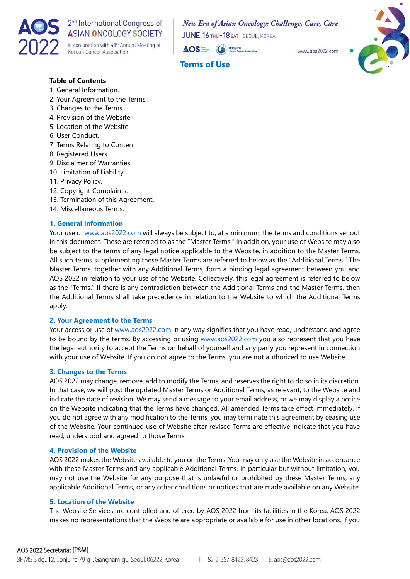

2<sup>nd</sup> International Congress of **ASIAN ONCOLOGY SOCIETY** 

in conjunction with 48<sup>th</sup> Annual Meeting of Korean Cancer Association

New Era of Asian Oncology: Challenge, Cure, Care

**JUNE 16 THU-18 SAT SEQUI KOREA** 



www.ans2022.com



# **Terms of Use**

## **Table of Contents**

- 1. General Information.
- 2. Your Agreement to the Terms.
- 3. Changes to the Terms.
- 4. Provision of the Website.
- 5. Location of the Website.
- 6. User Conduct.
- 7. Terms Relating to Content.
- 8. Registered Users.
- 9. Disclaimer of Warranties.
- 10. Limitation of Liability.
- 11. Privacy Policy.
- 12. Copyright Complaints.
- 13. Termination of this Agreement.
- 14. Miscellaneous Terms.

#### **1. General Information**

Your use of [www.aos2022.com](http://www.aos2022.com/) will always be subject to, at a minimum, the terms and conditions set out in this document. These are referred to as the "Master Terms." In addition, your use of Website may also be subject to the terms of any legal notice applicable to the Website, in addition to the Master Terms. All such terms supplementing these Master Terms are referred to below as the "Additional Terms." The Master Terms, together with any Additional Terms, form a binding legal agreement between you and AOS 2022 in relation to your use of the Website. Collectively, this legal agreement is referred to below as the "Terms." If there is any contradiction between the Additional Terms and the Master Terms, then the Additional Terms shall take precedence in relation to the Website to which the Additional Terms apply.

#### **2. Your Agreement to the Terms**

Your access or use of [www.aos2022.com](http://www.aos2022.com/) in any way signifies that you have read, understand and agree to be bound by the terms. By accessing or using [www.aos2022.com](http://www.aos2022.com/) you also represent that you have the legal authority to accept the Terms on behalf of yourself and any party you represent in connection with your use of Website. If you do not agree to the Terms, you are not authorized to use Website.

#### **3. Changes to the Terms**

AOS 2022 may change, remove, add to modify the Terms, and reserves the right to do so in its discretion. In that case, we will post the updated Master Terms or Additional Terms, as relevant, to the Website and indicate the date of revision. We may send a message to your email address, or we may display a notice on the Website indicating that the Terms have changed. All amended Terms take effect immediately. If you do not agree with any modification to the Terms, you may terminate this agreement by ceasing use of the Website. Your continued use of Website after revised Terms are effective indicate that you have read, understood and agreed to those Terms.

#### **4. Provision of the Website**

AOS 2022 makes the Website available to you on the Terms. You may only use the Website in accordance with these Master Terms and any applicable Additional Terms. In particular but without limitation, you may not use the Website for any purpose that is unlawful or prohibited by these Master Terms, any applicable Additional Terms, or any other conditions or notices that are made available on any Website.

#### **5. Location of the Website**

The Website Services are controlled and offered by AOS 2022 from its facilities in the Korea. AOS 2022 makes no representations that the Website are appropriate or available for use in other locations. If you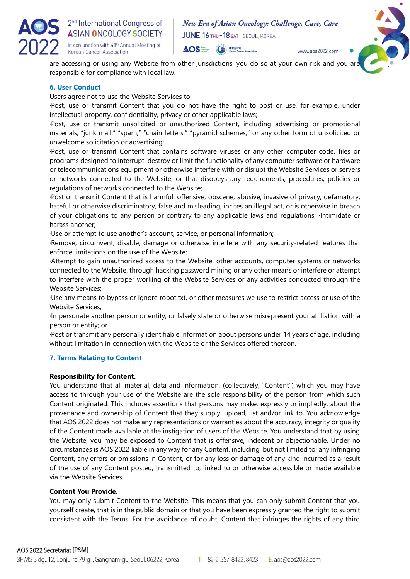

New Era of Asian Oncology: Challenge, Cure, Care **JUNE 16 THU-18 SAT SEQUI KOREA** 

**AOS** 대한암학회

www.ans $2022$  com



are accessing or using any Website from other jurisdictions, you do so at your own risk and you are responsible for compliance with local law.

# **6. User Conduct**

Users agree not to use the Website Services to:

·Post, use or transmit Content that you do not have the right to post or use, for example, under intellectual property, confidentiality, privacy or other applicable laws;

·Post, use or transmit unsolicited or unauthorized Content, including advertising or promotional materials, "junk mail," "spam," "chain letters," "pyramid schemes," or any other form of unsolicited or unwelcome solicitation or advertising;

·Post, use or transmit Content that contains software viruses or any other computer code, files or programs designed to interrupt, destroy or limit the functionality of any computer software or hardware or telecommunications equipment or otherwise interfere with or disrupt the Website Services or servers or networks connected to the Website, or that disobeys any requirements, procedures, policies or regulations of networks connected to the Website;

·Post or transmit Content that is harmful, offensive, obscene, abusive, invasive of privacy, defamatory, hateful or otherwise discriminatory, false and misleading, incites an illegal act, or is otherwise in breach of your obligations to any person or contrary to any applicable laws and regulations; ·Intimidate or harass another;

·Use or attempt to use another's account, service, or personal information;

·Remove, circumvent, disable, damage or otherwise interfere with any security-related features that enforce limitations on the use of the Website;

·Attempt to gain unauthorized access to the Website, other accounts, computer systems or networks connected to the Website, through hacking password mining or any other means or interfere or attempt to interfere with the proper working of the Website Services or any activities conducted through the Website Services;

·Use any means to bypass or ignore robot.txt, or other measures we use to restrict access or use of the Website Services;

·Impersonate another person or entity, or falsely state or otherwise misrepresent your affiliation with a person or entity; or

·Post or transmit any personally identifiable information about persons under 14 years of age, including without limitation in connection with the Website or the Services offered thereon.

# **7. Terms Relating to Content**

# **Responsibility for Content.**

You understand that all material, data and information, (collectively, "Content") which you may have access to through your use of the Website are the sole responsibility of the person from which such Content originated. This includes assertions that persons may make, expressly or impliedly, about the provenance and ownership of Content that they supply, upload, list and/or link to. You acknowledge that AOS 2022 does not make any representations or warranties about the accuracy, integrity or quality of the Content made available at the instigation of users of the Website. You understand that by using the Website, you may be exposed to Content that is offensive, indecent or objectionable. Under no circumstances is AOS 2022 liable in any way for any Content, including, but not limited to: any infringing Content, any errors or omissions in Content, or for any loss or damage of any kind incurred as a result of the use of any Content posted, transmitted to, linked to or otherwise accessible or made available via the Website Services.

# **Content You Provide.**

You may only submit Content to the Website. This means that you can only submit Content that you yourself create, that is in the public domain or that you have been expressly granted the right to submit consistent with the Terms. For the avoidance of doubt, Content that infringes the rights of any third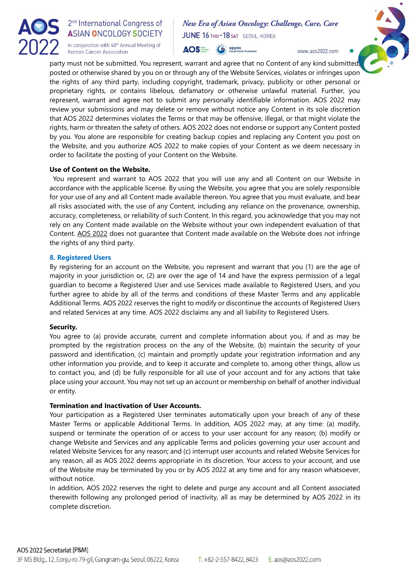

# 2<sup>nd</sup> International Congress of **ASIAN ONCOLOGY SOCIETY**

in conjunction with 48<sup>th</sup> Annual Meeting of Korean Cancer Association

New Era of Asian Oncology: Challenge, Cure, Care **JUNE 16 THU-18 SAT SEQUI KOREA** 



www.ans2022.com



party must not be submitted. You represent, warrant and agree that no Content of any kind submitted, posted or otherwise shared by you on or through any of the Website Services, violates or infringes upon the rights of any third party, including copyright, trademark, privacy, publicity or other personal or proprietary rights, or contains libelous, defamatory or otherwise unlawful material. Further, you represent, warrant and agree not to submit any personally identifiable information. AOS 2022 may review your submissions and may delete or remove without notice any Content in its sole discretion that AOS 2022 determines violates the Terms or that may be offensive, illegal, or that might violate the rights, harm or threaten the safety of others. AOS 2022 does not endorse or support any Content posted by you. You alone are responsible for creating backup copies and replacing any Content you post on the Website, and you authorize AOS 2022 to make copies of your Content as we deem necessary in order to facilitate the posting of your Content on the Website.

## **Use of Content on the Website.**

You represent and warrant to AOS 2022 that you will use any and all Content on our Website in accordance with the applicable license. By using the Website, you agree that you are solely responsible for your use of any and all Content made available thereon. You agree that you must evaluate, and bear all risks associated with, the use of any Content, including any reliance on the provenance, ownership, accuracy, completeness, or reliability of such Content. In this regard, you acknowledge that you may not rely on any Content made available on the Website without your own independent evaluation of that Content. AOS 2022 does not guarantee that Content made available on the Website does not infringe the rights of any third party.

## **8. Registered Users**

By registering for an account on the Website, you represent and warrant that you (1) are the age of majority in your jurisdiction or, (2) are over the age of 14 and have the express permission of a legal guardian to become a Registered User and use Services made available to Registered Users, and you further agree to abide by all of the terms and conditions of these Master Terms and any applicable Additional Terms. AOS 2022 reserves the right to modify or discontinue the accounts of Registered Users and related Services at any time. AOS 2022 disclaims any and all liability to Registered Users.

#### **Security.**

You agree to (a) provide accurate, current and complete information about you, if and as may be prompted by the registration process on the any of the Website, (b) maintain the security of your password and identification, (c) maintain and promptly update your registration information and any other information you provide, and to keep it accurate and complete to, among other things, allow us to contact you, and (d) be fully responsible for all use of your account and for any actions that take place using your account. You may not set up an account or membership on behalf of another individual or entity.

# **Termination and Inactivation of User Accounts.**

Your participation as a Registered User terminates automatically upon your breach of any of these Master Terms or applicable Additional Terms. In addition, AOS 2022 may, at any time: (a) modify, suspend or terminate the operation of or access to your user account for any reason; (b) modify or change Website and Services and any applicable Terms and policies governing your user account and related Website Services for any reason; and (c) interrupt user accounts and related Website Services for any reason, all as AOS 2022 deems appropriate in its discretion. Your access to your account, and use of the Website may be terminated by you or by AOS 2022 at any time and for any reason whatsoever, without notice.

In addition, AOS 2022 reserves the right to delete and purge any account and all Content associated therewith following any prolonged period of inactivity, all as may be determined by AOS 2022 in its complete discretion.